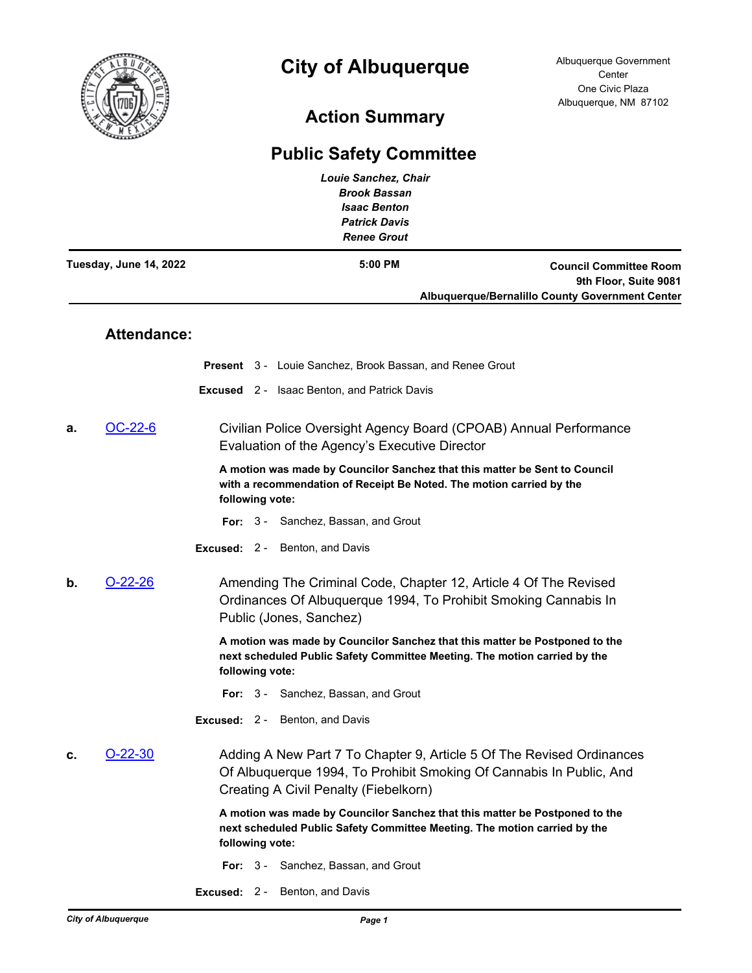

## **City of Albuquerque**

## **Action Summary**

## **Public Safety Committee**

|                        |                    | <b>Louie Sanchez, Chair</b><br><b>Brook Bassan</b><br><b>Isaac Benton</b><br><b>Patrick Davis</b><br><b>Renee Grout</b>                                                               |  |                                                                                                           |
|------------------------|--------------------|---------------------------------------------------------------------------------------------------------------------------------------------------------------------------------------|--|-----------------------------------------------------------------------------------------------------------|
| Tuesday, June 14, 2022 |                    | 5:00 PM                                                                                                                                                                               |  | <b>Council Committee Room</b><br>9th Floor, Suite 9081<br>Albuquerque/Bernalillo County Government Center |
|                        | <b>Attendance:</b> |                                                                                                                                                                                       |  |                                                                                                           |
|                        |                    | <b>Present</b> 3 - Louie Sanchez, Brook Bassan, and Renee Grout                                                                                                                       |  |                                                                                                           |
|                        |                    | <b>Excused</b> 2 - Isaac Benton, and Patrick Davis                                                                                                                                    |  |                                                                                                           |
| а.                     | OC-22-6            | Civilian Police Oversight Agency Board (CPOAB) Annual Performance<br>Evaluation of the Agency's Executive Director                                                                    |  |                                                                                                           |
|                        |                    | A motion was made by Councilor Sanchez that this matter be Sent to Council<br>with a recommendation of Receipt Be Noted. The motion carried by the<br>following vote:                 |  |                                                                                                           |
|                        |                    | For: 3 - Sanchez, Bassan, and Grout                                                                                                                                                   |  |                                                                                                           |
|                        |                    | <b>Excused: 2 - Benton, and Davis</b>                                                                                                                                                 |  |                                                                                                           |
| b.                     | $O-22-26$          | Amending The Criminal Code, Chapter 12, Article 4 Of The Revised<br>Ordinances Of Albuquerque 1994, To Prohibit Smoking Cannabis In<br>Public (Jones, Sanchez)                        |  |                                                                                                           |
|                        |                    | A motion was made by Councilor Sanchez that this matter be Postponed to the<br>next scheduled Public Safety Committee Meeting. The motion carried by the<br>following vote:           |  |                                                                                                           |
|                        |                    | For: 3 - Sanchez, Bassan, and Grout                                                                                                                                                   |  |                                                                                                           |
|                        |                    | <b>Excused: 2 - Benton, and Davis</b>                                                                                                                                                 |  |                                                                                                           |
| c.                     | $O-22-30$          | Adding A New Part 7 To Chapter 9, Article 5 Of The Revised Ordinances<br>Of Albuquerque 1994, To Prohibit Smoking Of Cannabis In Public, And<br>Creating A Civil Penalty (Fiebelkorn) |  |                                                                                                           |
|                        |                    | A motion was made by Councilor Sanchez that this matter be Postponed to the<br>next scheduled Public Safety Committee Meeting. The motion carried by the<br>following vote:           |  |                                                                                                           |
|                        |                    | For: 3 - Sanchez, Bassan, and Grout                                                                                                                                                   |  |                                                                                                           |

**Excused:** 2 - Benton, and Davis